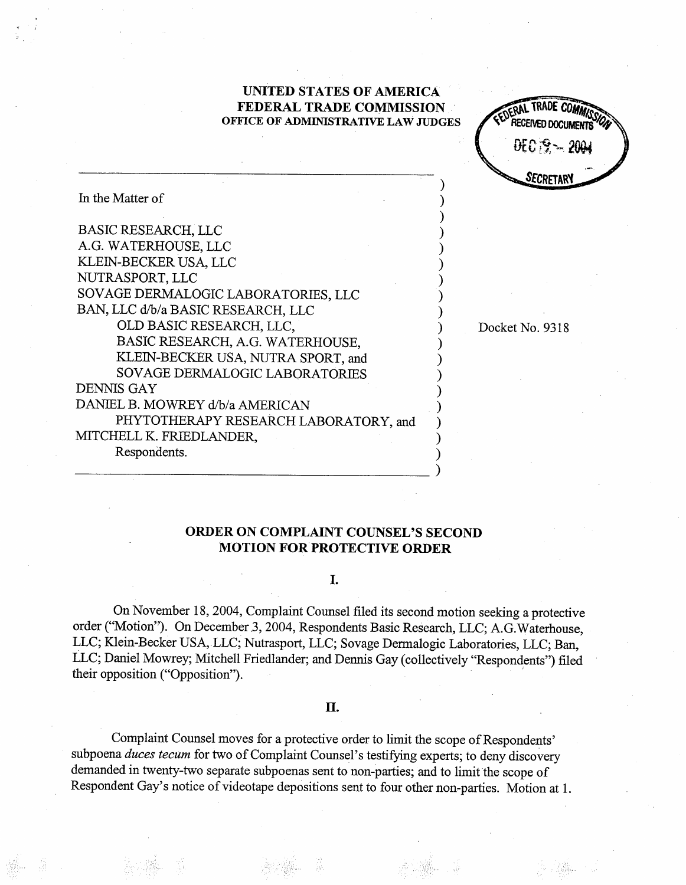# UNITED STATES OF AMERICA FEDERAL TRADE COMMISSION OFFICE OF ADMINISTRATIVE LAW JUDGES

DERAL INDUE CUMM RECEIVED DOCUMENTS" ECRETAR

Docket No. 9318

| In the Matter of                      |
|---------------------------------------|
|                                       |
| <b>BASIC RESEARCH, LLC</b>            |
| A.G. WATERHOUSE, LLC                  |
| KLEIN-BECKER USA, LLC                 |
| NUTRASPORT, LLC                       |
| SOVAGE DERMALOGIC LABORATORIES, LLC   |
| BAN, LLC d/b/a BASIC RESEARCH, LLC    |
| OLD BASIC RESEARCH, LLC,              |
| BASIC RESEARCH, A.G. WATERHOUSE,      |
| KLEIN-BECKER USA, NUTRA SPORT, and    |
| SOVAGE DERMALOGIC LABORATORIES        |
| <b>DENNIS GAY</b>                     |
| DANIEL B. MOWREY d/b/a AMERICAN       |
| PHYTOTHERAPY RESEARCH LABORATORY, and |
| MITCHELL K. FRIEDLANDER,              |
| Respondents.                          |

# ORDER ON COMPLAINT COUNSEL'S SECOND MOTION FOR PROTECTIVE ORDER

# I.

On November 18, 2004, Complaint Counsel filed its second motion seeking a protective order ("Motion"). On December 3, 2004, Respondents Basic Research, LLC; A.G. Waterhouse, LLC; Klein-Becker USA, LLC; Nutrasport, LLC; Sovage Dermalogic Laboratories, LLC; Ban, LLC; Daniel Mowrey; Mitchell Friedlander; and Dennis Gay (collectively "Respondents") filed their opposition ("Opposition").

# II.

Complaint Counsel moves for a protective order to limt the scope of Respondents subpoena duces tecum for two of Complaint Counsel's testifying experts; to deny discovery demanded in twenty-two separate subpoenas sent to non-parties; and to limit the scope of Respondent Gay's notice of videotape depositions sent to four other non-parties. Motion at 1.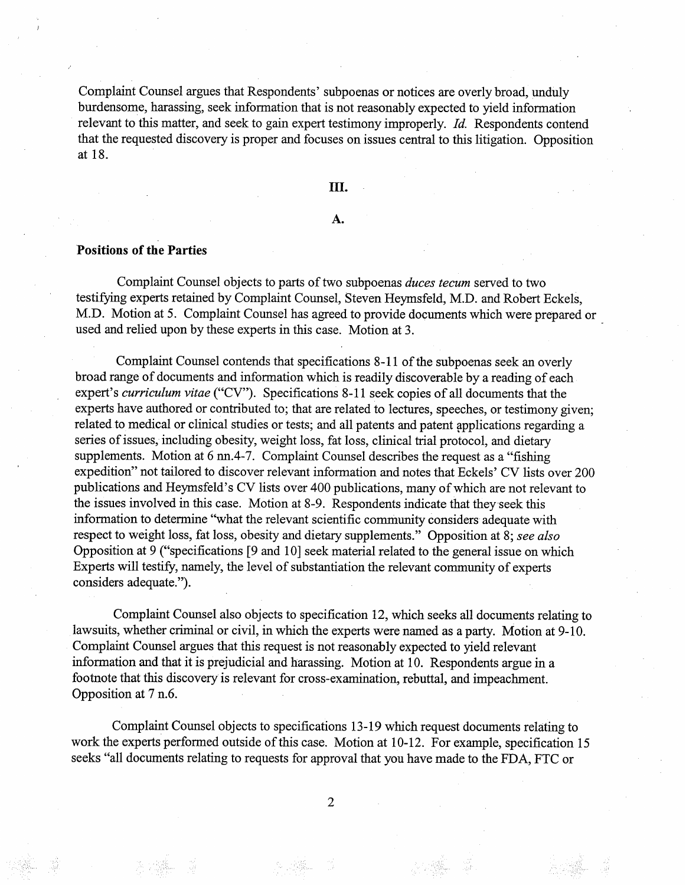Complaint Counsel argues that Respondents' subpoenas or notices are overly broad, unduly burdensome, harassing, seek information that is not reasonably expected to yield information relevant to this matter, and seek to gain expert testimony improperly. Id. Respondents contend that the requested discovery is proper and focuses on issues central to this litigation. Opposition at 18.

### II.

### A.

### Positions of the Parties

Complaint Counsel objects to parts of two subpoenas *duces tecum* served to two testifyng experts retained by Complaint Counsel, Steven Heymsfeld, M.D. and Robert Eckels M.D. Motion at 5. Complaint Counsel has agreed to provide documents which were prepared or used and relied upon by these experts in this case. Motion at 3.

Complaint Counsel contends that specifications 8- 11 of the subpoenas seek an overly broad range of documents and information which is readily discoverable by a reading of each expert's *curriculum vitae* ("CV"). Specifications 8-11 seek copies of all documents that the experts have authored or contributed to; that are related to lectures, speeches, or testimony given; related to medical or clinical studies or tests; and all patents and patent applications regarding a series of issues, including obesity, weight loss, fat loss, clinical trial protocol, and dietary supplements. Motion at 6 nn.4-7. Complaint Counsel describes the request as a "fishing expedition" not tailored to discover relevant information and notes that Eckels' CV lists over 200 publications and Heymsfeld's CV lists over 400 publications, many of which are not relevant to the issues involved in this case. Motion at 8-9. Respondents indicate that they seek this information to determine "what the relevant scientific community considers adequate with respect to weight loss, fat loss, obesity and dietary supplements." Opposition at 8; see also Opposition at 9 ("specifications [9 and 10] seek material related to the general issue on which Experts will testifY, namely, the level of substantiation the relevant communty of experts considers adequate.").

Complaint Counsel also objects to specification 12, which seeks all documents relating to lawsuits, whether criminal or civil, in which the experts were named as a party. Motion at 9-10. Complaint Counsel argues that this request is not reasonably expected to yield relevant information and that it is prejudicial and harassing. Motion at 10. Respondents argue in a footnote that this discovery is relevant for cross-examination, rebuttal, and impeaclnent. Opposition at 7 n.

Complaint Counsel objects to specifications 13- 19 which request documents relating to work the experts performed outside of this case. Motion at 10-12. For example, specification 15 seeks "all documents relating to requests for approval that you have made to the FDA, FTC or

 $\overline{2}$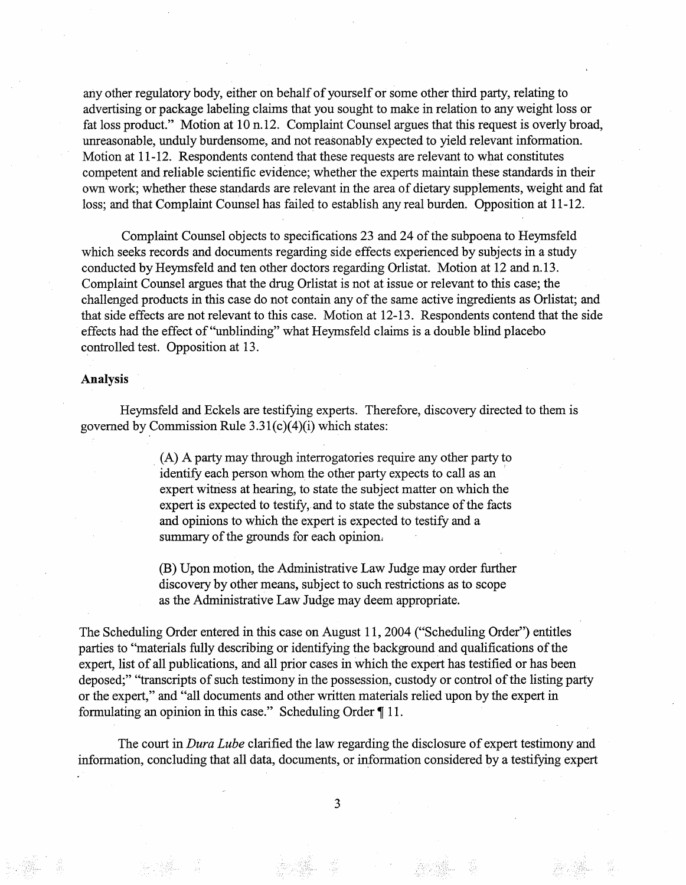any other regulatory body, either on behalf of yourself or some other third party, relating to advertising or package labeling claims that you sought to make in relation to any weight loss or fat loss product." Motion at 10 n.12. Complaint Counsel argues that this request is overly broad, unreasonable, unduly burdensome, and not reasonably expected to yield relevant information. Motion at 11-12. Respondents contend that these requests are relevant to what constitutes competent and reliable scientific evidence; whether the experts maintain these standards in their own work; whether these standards are relevant in the area of dietary supplements, weight and fat loss; and that Complaint Counsel has failed to establish any real burden. Opposition at 11-12.

Complaint Counsel objects to specifications 23 and 24 of the subpoena to Heymsfeld which seeks records and documents regarding side effects experienced by subjects in a study conducted by Heymsfeld and ten other doctors regarding Orlistat. Motion at 12 and n. 13. Complaint Counsel argues that the drug Orlistat is not at issue or relevant to this case; the challenged products in this case do not contain any of the same active ingredients as Orlistat; and that side effects are not relevant to this case. Motion at 12- 13. Respondents contend that the side effects had the effect of "unblinding" what Heymsfeld claims is a double blind placebo controlled test. Opposition at 13.

#### Analysis

Heymsfeld and Eckels are testifyng experts. Therefore, discovery directed to them is governed by Commission Rule  $3.31(c)(4)(i)$  which states:

> (A) A party may through interrogatories require any other party to identify each person whom the other party expects to call as an expert witness at hearing, to state the subject matter on which the expert is expected to testify, and to state the substance of the facts and opinions to which the expert is expected to testify and a summary of the grounds for each opinion.

(B) Upon motion, the Administrative Law Judge may order further discovery by other means, subject to such restrictions as to scope as the Adminstrative Law Judge may deem appropriate.

The Scheduling Order entered in this case on August 11, 2004 ("Scheduling Order") entitles parties to "materials fully describing or identifying the background and qualifications of the expert, list of all publications, and all prior cases in which the expert has testified or has been deposed;" "transcripts of such testimony in the possession, custody or control of the listing party or the expert," and "all documents and other written materials relied upon by the expert in formulating an opinion in this case." Scheduling Order ¶ 11.

The court in *Dura Lube* clarified the law regarding the disclosure of expert testimony and information, concluding that all data, documents, or information considered by a testifying expert

 $\overline{3}$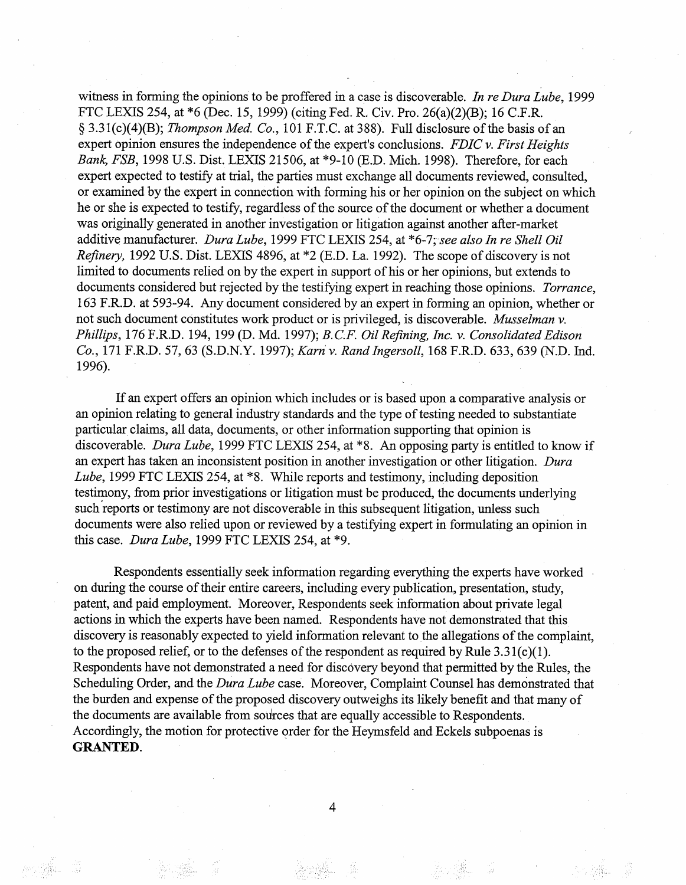witness in forming the opinions to be proffered in a case is discoverable. In re Dura Lube, 1999 FTC LEXIS 254, at \*6 (Dec. 15, 1999) (citing Fed. R. Civ. Pro. 26(a)(2)(B); 16 C.F. § 3.31(c)(4)(B); *Thompson Med. Co.*, 101 F.T.C. at 388). Full disclosure of the basis of an expert opinion ensures the independence of the expert's conclusions. FDIC  $\nu$ . First Heights Bank, FSB, 1998 U.S. Dist. LEXIS 21506, at \*9-10 (E.D. Mich. 1998). Therefore, for each expert expected to testify at trial, the paries must exchange all documents reviewed, consulted or examined by the expert in connection with forming his or her opinion on the subject on which he or she is expected to testifY, regardless of the source of the document or whether a document was originally generated in another investigation or litigation against another after-market additive manufacturer. Dura Lube, 1999 FTC LEXIS 254, at \*6-7; see also In re Shell Oil Refinery, 1992 U.S. Dist. LEXIS 4896, at \*2 (E.D. La. 1992). The scope of discovery is not limited to documents relied on by the expert in support of his or her opinions, but extends to documents considered but rejected by the testifying expert in reaching those opinions. *Torrance*, 163 F.RD. at 593-94. Any document considered by an expert in forming an opinion, whether or not such document constitutes work product or is privileged, is discoverable. Musselman v. Phillips, 176 F.R.D. 194, 199 (D. Md. 1997); B.C.F. Oil Refining, Inc. v. Consolidated Edison Co., 171 F.R.D. 57, 63 (S.D.N.Y. 1997); Karn v. Rand Ingersoll, 168 F.R.D. 633, 639 (N.D. Ind. 1996).

If an expert offers an opinion which includes or is based upon a comparative analysis or an opinion relating to general industry standards and the type of testing needed to substantiate particular claims, all data, documents, or other information supporting that opinion is discoverable. Dura Lube, 1999 FTC LEXIS 254, at \*8. An opposing party is entitled to know if an expert has taken an inconsistent position in another investigation or other litigation. Dura Lube, 1999 FTC LEXIS 254, at \*8. While reports and testimony, including deposition testimony, from prior investigations or litigation must be produced, the documents underlying such reports or testimony are not discoverable in this subsequent litigation, unless such documents were also relied upon or reviewed by a testifyng expert in formulating an opinion in this case. Dura Lube, 1999 FTC LEXIS 254, at  $*9$ .

Respondents essentially seek information regarding everyhing the experts have worked on during the course of their entire careers, including every publication, presentation, study, patent, and paid employment. Moreover, Respondents seek information about private legal actions in which the experts have been named. Respondents have not demonstrated that this discovery is reasonably expected to yield information relevant to the allegations of the complaint to the proposed relief, or to the defenses of the respondent as required by Rule  $3.31(c)(1)$ . Respondents have not demonstrated a need for discovery beyond that permitted by the Rules, the Scheduling Order, and the *Dura Lube* case. Moreover, Complaint Counsel has demonstrated that the burden and expense of the proposed discovery outweighs its likely benefit and that many of the documents are available from sources that are equally accessible to Respondents. Accordingly, the motion for protective order for the Heymsfeld and Eckels subpoenas is **GRANTED.** 

 $\overline{4}$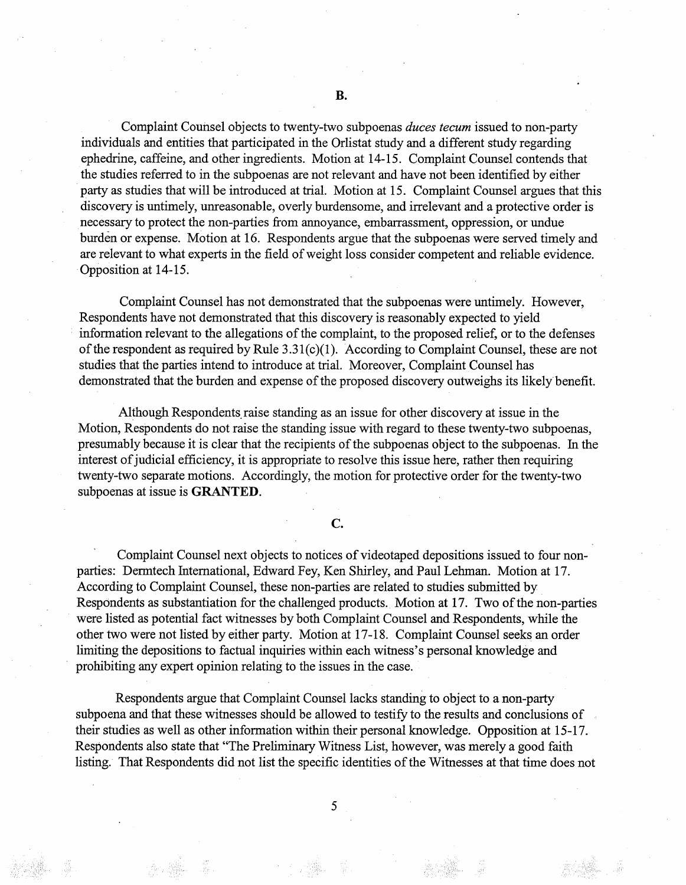Complaint Counsel objects to twenty-two subpoenas duces tecum issued to non-party individuals and entities that paricipated in the Orlistat study and a different study regarding ephedrine, caffeine, and other ingredients. Motion at 14-15. Complaint Counsel contends that the studies referred to in the subpoenas are not relevant and have not been identified by either party as studies that will be introduced at trial. Motion at 15. Complaint Counsel argues that this discovery is untimely, unreasonable, overly burdensome, and irrelevant and a protective order is necessary to protect the non-parties from annoyance, embarrassment, oppression, or undue burden or expense. Motion at 16. Respondents argue that the subpoenas were served timely and are relevant to what experts in the field of weight loss consider competent and reliable evidence. Opposition at 14-15.

Complaint Counsel has not demonstrated that the subpoenas were untimely. However Respondents have not demonstrated that this discovery is reasonably expected to yield information relevant to the allegations of the complaint, to the proposed relief, or to the defenses of the respondent as required by Rule  $3.31(c)(1)$ . According to Complaint Counsel, these are not studies that the paries intend to introduce at tral. Moreover, Complaint Counsel has demonstrated that the burden and expense of the proposed discovery outweighs its likely benefit.

Although Respondents raise standing as an issue for other discovery at issue in the Motion, Respondents do not raise the standing issue with regard to these twenty-two subpoenas presumably because it is clear that the recipients of the subpoenas object to the subpoenas. In the interest of judicial efficiency, it is appropriate to resolve this issue here, rather then requiring twenty-two separate motions. Accordingly, the motion for protective order for the twenty-two subpoenas at issue is **GRANTED**.

 $C_{\bullet}$ 

Complaint Counsel next objects to notices of videotaped depositions issued to four nonparties: Dermtech International, Edward Fey, Ken Shirley, and Paul Lehman. Motion at 17. According to Complaint Counsel, these non-paries are related to studies submitted by Respondents as substantiation for the challenged products. Motion at 17. Two of the non-paries were listed as potential fact witnesses by both Complaint Counsel and Respondents, while the other two were not listed by either party. Motion at 17- 18. Complaint Counsel seeks an order limiting the depositions to factual inquiries within each witness's personal knowledge and prohibiting any expert opinion relating to the issues in the case.

Respondents argue that Complaint Counsel lacks standing to object to a non-party subpoena and that these witnesses should be allowed to testify to the results and conclusions of their studies as well as other information within their personal knowledge. Opposition at 15-17. Respondents also state that "The Preliminary Witness List, however, was merely a good faith listing. That Respondents did not list the specific identities of the Witnesses at that time does not

5